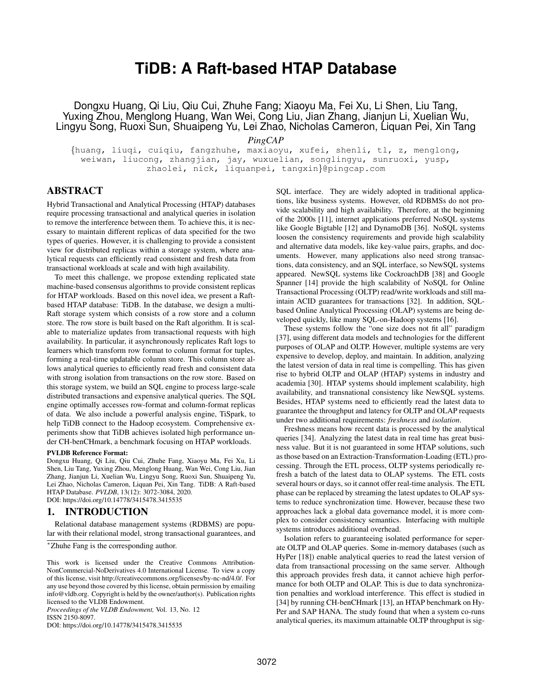# **TiDB: A Raft-based HTAP Database**

Dongxu Huang, Qi Liu, Qiu Cui, Zhuhe Fang; Xiaoyu Ma, Fei Xu, Li Shen, Liu Tang, Yuxing Zhou, Menglong Huang, Wan Wei, Cong Liu, Jian Zhang, Jianjun Li, Xuelian Wu, Lingyu Song, Ruoxi Sun, Shuaipeng Yu, Lei Zhao, Nicholas Cameron, Liquan Pei, Xin Tang

*PingCAP*

{huang, liuqi, cuiqiu, fangzhuhe, maxiaoyu, xufei, shenli, tl, z, menglong, weiwan, liucong, zhangjian, jay, wuxuelian, songlingyu, sunruoxi, yusp, zhaolei, nick, liquanpei, tangxin}@pingcap.com

# ABSTRACT

Hybrid Transactional and Analytical Processing (HTAP) databases require processing transactional and analytical queries in isolation to remove the interference between them. To achieve this, it is necessary to maintain different replicas of data specified for the two types of queries. However, it is challenging to provide a consistent view for distributed replicas within a storage system, where analytical requests can efficiently read consistent and fresh data from transactional workloads at scale and with high availability.

To meet this challenge, we propose extending replicated state machine-based consensus algorithms to provide consistent replicas for HTAP workloads. Based on this novel idea, we present a Raftbased HTAP database: TiDB. In the database, we design a multi-Raft storage system which consists of a row store and a column store. The row store is built based on the Raft algorithm. It is scalable to materialize updates from transactional requests with high availability. In particular, it asynchronously replicates Raft logs to learners which transform row format to column format for tuples, forming a real-time updatable column store. This column store allows analytical queries to efficiently read fresh and consistent data with strong isolation from transactions on the row store. Based on this storage system, we build an SQL engine to process large-scale distributed transactions and expensive analytical queries. The SQL engine optimally accesses row-format and column-format replicas of data. We also include a powerful analysis engine, TiSpark, to help TiDB connect to the Hadoop ecosystem. Comprehensive experiments show that TiDB achieves isolated high performance under CH-benCHmark, a benchmark focusing on HTAP workloads.

#### PVLDB Reference Format:

Dongxu Huang, Qi Liu, Qiu Cui, Zhuhe Fang, Xiaoyu Ma, Fei Xu, Li Shen, Liu Tang, Yuxing Zhou, Menglong Huang, Wan Wei, Cong Liu, Jian Zhang, Jianjun Li, Xuelian Wu, Lingyu Song, Ruoxi Sun, Shuaipeng Yu, Lei Zhao, Nicholas Cameron, Liquan Pei, Xin Tang. TiDB: A Raft-based HTAP Database. *PVLDB*, 13(12): 3072-3084, 2020. DOI: https://doi.org/10.14778/3415478.3415535

#### 1. INTRODUCTION

Relational database management systems (RDBMS) are popular with their relational model, strong transactional guarantees, and

<sup>∗</sup>Zhuhe Fang is the corresponding author.

*Proceedings of the VLDB Endowment,* Vol. 13, No. 12 ISSN 2150-8097.

DOI: https://doi.org/10.14778/3415478.3415535

SQL interface. They are widely adopted in traditional applications, like business systems. However, old RDBMSs do not provide scalability and high availability. Therefore, at the beginning of the 2000s [11], internet applications preferred NoSQL systems like Google Bigtable [12] and DynamoDB [36]. NoSQL systems loosen the consistency requirements and provide high scalability and alternative data models, like key-value pairs, graphs, and documents. However, many applications also need strong transactions, data consistency, and an SQL interface, so NewSQL systems appeared. NewSQL systems like CockroachDB [38] and Google Spanner [14] provide the high scalability of NoSQL for Online Transactional Processing (OLTP) read/write workloads and still maintain ACID guarantees for transactions [32]. In addition, SQLbased Online Analytical Processing (OLAP) systems are being developed quickly, like many SQL-on-Hadoop systems [16].

These systems follow the "one size does not fit all" paradigm [37], using different data models and technologies for the different purposes of OLAP and OLTP. However, multiple systems are very expensive to develop, deploy, and maintain. In addition, analyzing the latest version of data in real time is compelling. This has given rise to hybrid OLTP and OLAP (HTAP) systems in industry and academia [30]. HTAP systems should implement scalability, high availability, and transnational consistency like NewSQL systems. Besides, HTAP systems need to efficiently read the latest data to guarantee the throughput and latency for OLTP and OLAP requests under two additional requirements: *freshness* and *isolation*.

Freshness means how recent data is processed by the analytical queries [34]. Analyzing the latest data in real time has great business value. But it is not guaranteed in some HTAP solutions, such as those based on an Extraction-Transformation-Loading (ETL) processing. Through the ETL process, OLTP systems periodically refresh a batch of the latest data to OLAP systems. The ETL costs several hours or days, so it cannot offer real-time analysis. The ETL phase can be replaced by streaming the latest updates to OLAP systems to reduce synchronization time. However, because these two approaches lack a global data governance model, it is more complex to consider consistency semantics. Interfacing with multiple systems introduces additional overhead.

Isolation refers to guaranteeing isolated performance for seperate OLTP and OLAP queries. Some in-memory databases (such as HyPer [18]) enable analytical queries to read the latest version of data from transactional processing on the same server. Although this approach provides fresh data, it cannot achieve high performance for both OLTP and OLAP. This is due to data synchronization penalties and workload interference. This effect is studied in [34] by running CH-benCHmark [13], an HTAP benchmark on Hy-Per and SAP HANA. The study found that when a system co-runs analytical queries, its maximum attainable OLTP throughput is sig-

This work is licensed under the Creative Commons Attribution-NonCommercial-NoDerivatives 4.0 International License. To view a copy of this license, visit http://creativecommons.org/licenses/by-nc-nd/4.0/. For any use beyond those covered by this license, obtain permission by emailing info@vldb.org. Copyright is held by the owner/author(s). Publication rights licensed to the VLDB Endowment.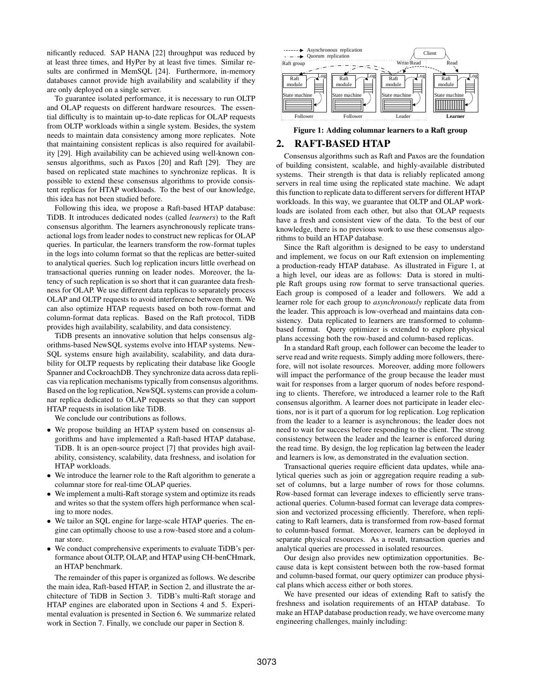nificantly reduced. SAP HANA [22] throughput was reduced by at least three times, and HyPer by at least five times. Similar results are confirmed in MemSQL [24]. Furthermore, in-memory databases cannot provide high availability and scalability if they are only deployed on a single server.

To guarantee isolated performance, it is necessary to run OLTP and OLAP requests on different hardware resources. The essential difficulty is to maintain up-to-date replicas for OLAP requests from OLTP workloads within a single system. Besides, the system needs to maintain data consistency among more replicates. Note that maintaining consistent replicas is also required for availability [29]. High availability can be achieved using well-known consensus algorithms, such as Paxos [20] and Raft [29]. They are based on replicated state machines to synchronize replicas. It is possible to extend these consensus algorithms to provide consistent replicas for HTAP workloads. To the best of our knowledge, this idea has not been studied before.

Following this idea, we propose a Raft-based HTAP database: TiDB. It introduces dedicated nodes (called *learners*) to the Raft consensus algorithm. The learners asynchronously replicate transactional logs from leader nodes to construct new replicas for OLAP queries. In particular, the learners transform the row-format tuples in the logs into column format so that the replicas are better-suited to analytical queries. Such log replication incurs little overhead on transactional queries running on leader nodes. Moreover, the latency of such replication is so short that it can guarantee data freshness for OLAP. We use different data replicas to separately process OLAP and OLTP requests to avoid interference between them. We can also optimize HTAP requests based on both row-format and column-format data replicas. Based on the Raft protocol, TiDB provides high availability, scalability, and data consistency. where the minimizing vectors in the section 1. Finally, we conclude  $\frac{1}{2}$  and  $\frac{1}{2}$  and  $\frac{1}{2}$  and  $\frac{1}{2}$  and  $\frac{1}{2}$  and  $\frac{1}{2}$  and  $\frac{1}{2}$  and  $\frac{1}{2}$  and  $\frac{1}{2}$  and  $\frac{1}{2}$  and  $\frac{1}{2}$  and

TiDB presents an innovative solution that helps consensus algorithms-based NewSQL systems evolve into HTAP systems. New-SQL systems ensure high availability, scalability, and data durability for OLTP requests by replicating their database like Google Spanner and CockroachDB. They synchronize data across data replicas via replication mechanisms typically from consensus algorithms. Based on the log replication, NewSQL systems can provide a columnar replica dedicated to OLAP requests so that they can support HTAP requests in isolation like TiDB.

We conclude our contributions as follows.

- We propose building an HTAP system based on consensus algorithms and have implemented a Raft-based HTAP database, TiDB. It is an open-source project [7] that provides high availability, consistency, scalability, data freshness, and isolation for HTAP workloads.
- We introduce the learner role to the Raft algorithm to generate a columnar store for real-time OLAP queries.
- We implement a multi-Raft storage system and optimize its reads and writes so that the system offers high performance when scaling to more nodes.
- We tailor an SQL engine for large-scale HTAP queries. The engine can optimally choose to use a row-based store and a columnar store.
- We conduct comprehensive experiments to evaluate TiDB's performance about OLTP, OLAP, and HTAP using CH-benCHmark, an HTAP benchmark.

The remainder of this paper is organized as follows. We describe the main idea, Raft-based HTAP, in Section 2, and illustrate the architecture of TiDB in Section 3. TiDB's multi-Raft storage and HTAP engines are elaborated upon in Sections 4 and 5. Experimental evaluation is presented in Section 6. We summarize related



Figure 1: Adding columnar learners to a Raft group

# 2. RAFT-BASED HTAP

Consensus algorithms such as Raft and Paxos are the foundation of building consistent, scalable, and highly-available distributed systems. Their strength is that data is reliably replicated among servers in real time using the replicated state machine. We adapt this function to replicate data to different servers for different HTAP workloads. In this way, we guarantee that OLTP and OLAP workloads are isolated from each other, but also that OLAP requests have a fresh and consistent view of the data. To the best of our knowledge, there is no previous work to use these consensus algorithms to build an HTAP database.

Since the Raft algorithm is designed to be easy to understand and implement, we focus on our Raft extension on implementing a production-ready HTAP database. As illustrated in Figure 1, at a high level, our ideas are as follows: Data is stored in multiple Raft groups using row format to serve transactional queries. Each group is composed of a leader and followers. We add a learner role for each group to *asynchronously* replicate data from the leader. This approach is low-overhead and maintains data consistency. Data replicated to learners are transformed to columnbased format. Query optimizer is extended to explore physical plans accessing both the row-based and column-based replicas.

In a standard Raft group, each follower can become the leader to serve read and write requests. Simply adding more followers, therefore, will not isolate resources. Moreover, adding more followers will impact the performance of the group because the leader must wait for responses from a larger quorum of nodes before responding to clients. Therefore, we introduced a learner role to the Raft consensus algorithm. A learner does not participate in leader elections, nor is it part of a quorum for log replication. Log replication from the leader to a learner is asynchronous; the leader does not need to wait for success before responding to the client. The strong consistency between the leader and the learner is enforced during the read time. By design, the log replication lag between the leader and learners is low, as demonstrated in the evaluation section.

Transactional queries require efficient data updates, while analytical queries such as join or aggregation require reading a subset of columns, but a large number of rows for those columns. Row-based format can leverage indexes to efficiently serve transactional queries. Column-based format can leverage data compression and vectorized processing efficiently. Therefore, when replicating to Raft learners, data is transformed from row-based format to column-based format. Moreover, learners can be deployed in separate physical resources. As a result, transaction queries and analytical queries are processed in isolated resources.

Our design also provides new optimization opportunities. Because data is kept consistent between both the row-based format and column-based format, our query optimizer can produce physical plans which access either or both stores.

We have presented our ideas of extending Raft to satisfy the freshness and isolation requirements of an HTAP database. To make an HTAP database production ready, we have overcome many engineering challenges, mainly including: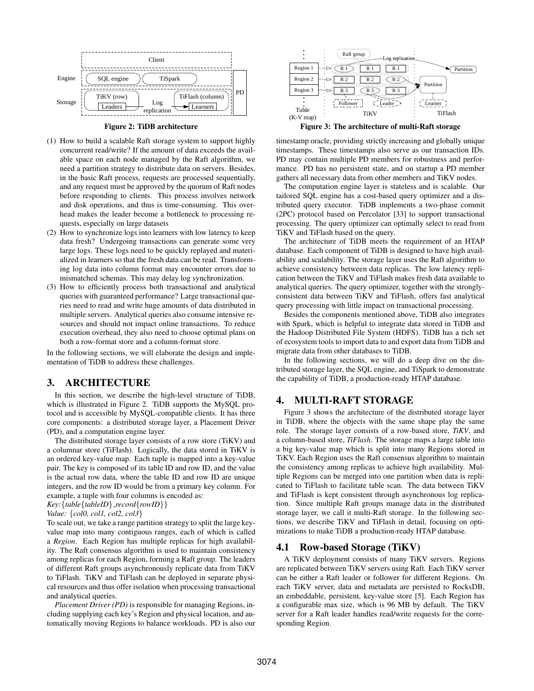

Figure 2: TiDB architecture

- (1) How to build a scalable Raft storage system to support highly concurrent read/write? If the amount of data exceeds the available space on each node managed by the Raft algorithm, we need a partition strategy to distribute data on servers. Besides, in the basic Raft process, requests are processed sequentially, and any request must be approved by the quorum of Raft nodes before responding to clients. This process involves network and disk operations, and thus is time-consuming. This overhead makes the leader become a bottleneck to processing requests, especially on large datasets
- (2) How to synchronize logs into learners with low latency to keep data fresh? Undergoing transactions can generate some very large logs. These logs need to be quickly replayed and materialized in learners so that the fresh data can be read. Transforming log data into column format may encounter errors due to mismatched schemas. This may delay log synchronization.
- (3) How to efficiently process both transactional and analytical queries with guaranteed performance? Large transactional queries need to read and write huge amounts of data distributed in multiple servers. Analytical queries also consume intensive resources and should not impact online transactions. To reduce execution overhead, they also need to choose optimal plans on both a row-format store and a column-format store.

In the following sections, we will elaborate the design and implementation of TiDB to address these challenges.

# 3. ARCHITECTURE

In this section, we describe the high-level structure of TiDB, which is illustrated in Figure 2. TiDB supports the MySQL protocol and is accessible by MySQL-compatible clients. It has three core components: a distributed storage layer, a Placement Driver (PD), and a computation engine layer.

The distributed storage layer consists of a row store (TiKV) and a columnar store (TiFlash). Logically, the data stored in TiKV is an ordered key-value map. Each tuple is mapped into a key-value pair. The key is composed of its table ID and row ID, and the value is the actual row data, where the table ID and row ID are unique integers, and the row ID would be from a primary key column. For example, a tuple with four columns is encoded as:

```
Key:{table{tableID} record{rowID}}
```

```
Value: {col0, col1, col2, col3}
```
To scale out, we take a range partition strategy to split the large keyvalue map into many contiguous ranges, each of which is called a *Region*. Each Region has multiple replicas for high availability. The Raft consensus algorithm is used to maintain consistency among replicas for each Region, forming a Raft group. The leaders of different Raft groups asynchronously replicate data from TiKV to TiFlash. TiKV and TiFlash can be deployed in separate physical resources and thus offer isolation when processing transactional and analytical queries.

*Placement Driver (PD)* is responsible for managing Regions, including supplying each key's Region and physical location, and automatically moving Regions to balance workloads. PD is also our



Figure 3: The architecture of multi-Raft storage

timestamp oracle, providing strictly increasing and globally unique timestamps. These timestamps also serve as our transaction IDs. PD may contain multiple PD members for robustness and performance. PD has no persistent state, and on startup a PD member gathers all necessary data from other members and TiKV nodes.

The computation engine layer is stateless and is scalable. Our tailored SQL engine has a cost-based query optimizer and a distributed query executor. TiDB implements a two-phase commit (2PC) protocol based on Percolator [33] to support transactional processing. The query optimizer can optimally select to read from TiKV and TiFlash based on the query.

The architecture of TiDB meets the requirement of an HTAP database. Each component of TiDB is designed to have high availability and scalability. The storage layer uses the Raft algorithm to achieve consistency between data replicas. The low latency replication between the TiKV and TiFlash makes fresh data available to analytical queries. The query optimizer, together with the stronglyconsistent data between TiKV and TiFlash, offers fast analytical query processing with little impact on transactional processing.

Besides the components mentioned above, TiDB also integrates with Spark, which is helpful to integrate data stored in TiDB and the Hadoop Distributed File System (HDFS). TiDB has a rich set of ecosystem tools to import data to and export data from TiDB and migrate data from other databases to TiDB.

In the following sections, we will do a deep dive on the distributed storage layer, the SQL engine, and TiSpark to demonstrate the capability of TiDB, a production-ready HTAP database.

# 4. MULTI-RAFT STORAGE

Figure 3 shows the architecture of the distributed storage layer in TiDB, where the objects with the same shape play the same role. The storage layer consists of a row-based store, *TiKV*, and a column-based store, *TiFlash*. The storage maps a large table into a big key-value map which is split into many Regions stored in TiKV. Each Region uses the Raft consensus algorithm to maintain the consistency among replicas to achieve high availability. Multiple Regions can be merged into one partition when data is replicated to TiFlash to facilitate table scan. The data between TiKV and TiFlash is kept consistent through asynchronous log replication. Since multiple Raft groups manage data in the distributed storage layer, we call it multi-Raft storage. In the following sections, we describe TiKV and TiFlash in detail, focusing on optimizations to make TiDB a production-ready HTAP database.

# 4.1 Row-based Storage (TiKV)

A TiKV deployment consists of many TiKV servers. Regions are replicated between TiKV servers using Raft. Each TiKV server can be either a Raft leader or follower for different Regions. On each TiKV server, data and metadata are persisted to RocksDB, an embeddable, persistent, key-value store [5]. Each Region has a configurable max size, which is 96 MB by default. The TiKV server for a Raft leader handles read/write requests for the corresponding Region.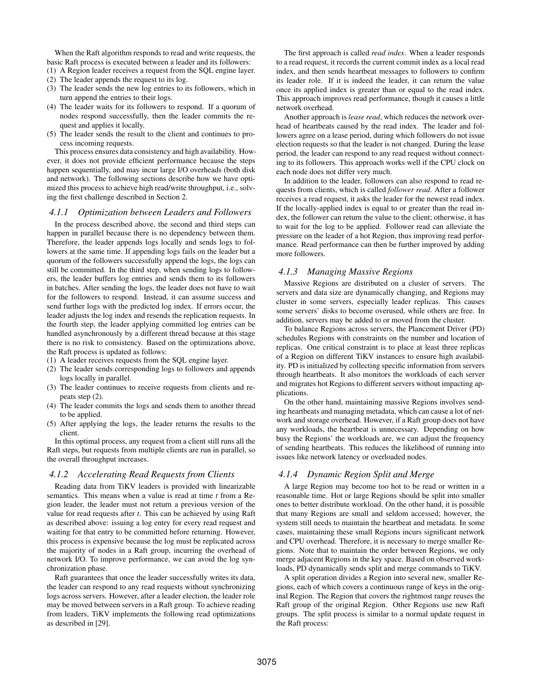When the Raft algorithm responds to read and write requests, the basic Raft process is executed between a leader and its followers: (1) A Region leader receives a request from the SQL engine layer.

- 
- (2) The leader appends the request to its log.
- (3) The leader sends the new log entries to its followers, which in turn append the entries to their logs.
- (4) The leader waits for its followers to respond. If a quorum of nodes respond successfully, then the leader commits the request and applies it locally.
- (5) The leader sends the result to the client and continues to process incoming requests.

This process ensures data consistency and high availability. However, it does not provide efficient performance because the steps happen sequentially, and may incur large I/O overheads (both disk and network). The following sections describe how we have optimized this process to achieve high read/write throughput, i.e., solving the first challenge described in Section 2.

#### *4.1.1 Optimization between Leaders and Followers*

In the process described above, the second and third steps can happen in parallel because there is no dependency between them. Therefore, the leader appends logs locally and sends logs to followers at the same time. If appending logs fails on the leader but a quorum of the followers successfully append the logs, the logs can still be committed. In the third step, when sending logs to followers, the leader buffers log entries and sends them to its followers in batches. After sending the logs, the leader does not have to wait for the followers to respond. Instead, it can assume success and send further logs with the predicted log index. If errors occur, the leader adjusts the log index and resends the replication requests. In the fourth step, the leader applying committed log entries can be handled asynchronously by a different thread because at this stage there is no risk to consistency. Based on the optimizations above, the Raft process is updated as follows:

- (1) A leader receives requests from the SQL engine layer.
- (2) The leader sends corresponding logs to followers and appends logs locally in parallel.
- (3) The leader continues to receive requests from clients and repeats step (2).
- (4) The leader commits the logs and sends them to another thread to be applied.
- (5) After applying the logs, the leader returns the results to the client.

In this optimal process, any request from a client still runs all the Raft steps, but requests from multiple clients are run in parallel, so the overall throughput increases.

### *4.1.2 Accelerating Read Requests from Clients*

Reading data from TiKV leaders is provided with linearizable semantics. This means when a value is read at time *t* from a Region leader, the leader must not return a previous version of the value for read requests after *t*. This can be achieved by using Raft as described above: issuing a log entry for every read request and waiting for that entry to be committed before returning. However, this process is expensive because the log must be replicated across the majority of nodes in a Raft group, incurring the overhead of network I/O. To improve performance, we can avoid the log synchronization phase.

Raft guarantees that once the leader successfully writes its data, the leader can respond to any read requests without synchronizing logs across servers. However, after a leader election, the leader role may be moved between servers in a Raft group. To achieve reading from leaders, TiKV implements the following read optimizations as described in [29].

The first approach is called *read index*. When a leader responds to a read request, it records the current commit index as a local read index, and then sends heartbeat messages to followers to confirm its leader role. If it is indeed the leader, it can return the value once its applied index is greater than or equal to the read index. This approach improves read performance, though it causes a little network overhead.

Another approach is *lease read*, which reduces the network overhead of heartbeats caused by the read index. The leader and followers agree on a lease period, during which followers do not issue election requests so that the leader is not changed. During the lease period, the leader can respond to any read request without connecting to its followers. This approach works well if the CPU clock on each node does not differ very much.

In addition to the leader, followers can also respond to read requests from clients, which is called *follower read*. After a follower receives a read request, it asks the leader for the newest read index. If the locally-applied index is equal to or greater than the read index, the follower can return the value to the client; otherwise, it has to wait for the log to be applied. Follower read can alleviate the pressure on the leader of a hot Region, thus improving read performance. Read performance can then be further improved by adding more followers.

### *4.1.3 Managing Massive Regions*

Massive Regions are distributed on a cluster of servers. The servers and data size are dynamically changing, and Regions may cluster in some servers, especially leader replicas. This causes some servers' disks to become overused, while others are free. In addition, servers may be added to or moved from the cluster.

To balance Regions across servers, the Plancement Driver (PD) schedules Regions with constraints on the number and location of replicas. One critical constraint is to place at least three replicas of a Region on different TiKV instances to ensure high availability. PD is initialized by collecting specific information from servers through heartbeats. It also monitors the workloads of each server and migrates hot Regions to different servers without impacting applications.

On the other hand, maintaining massive Regions involves sending heartbeats and managing metadata, which can cause a lot of network and storage overhead. However, if a Raft group does not have any workloads, the heartbeat is unnecessary. Depending on how busy the Regions' the workloads are, we can adjust the frequency of sending heartbeats. This reduces the likelihood of running into issues like network latency or overloaded nodes.

### *4.1.4 Dynamic Region Split and Merge*

A large Region may become too hot to be read or written in a reasonable time. Hot or large Regions should be split into smaller ones to better distribute workload. On the other hand, it is possible that many Regions are small and seldom accessed; however, the system still needs to maintain the heartbeat and metadata. In some cases, maintaining these small Regions incurs significant network and CPU overhead. Therefore, it is necessary to merge smaller Regions. Note that to maintain the order between Regions, we only merge adjacent Regions in the key space. Based on observed workloads, PD dynamically sends split and merge commands to TiKV.

A split operation divides a Region into several new, smaller Regions, each of which covers a continuous range of keys in the original Region. The Region that covers the rightmost range reuses the Raft group of the original Region. Other Regions use new Raft groups. The split process is similar to a normal update request in the Raft process: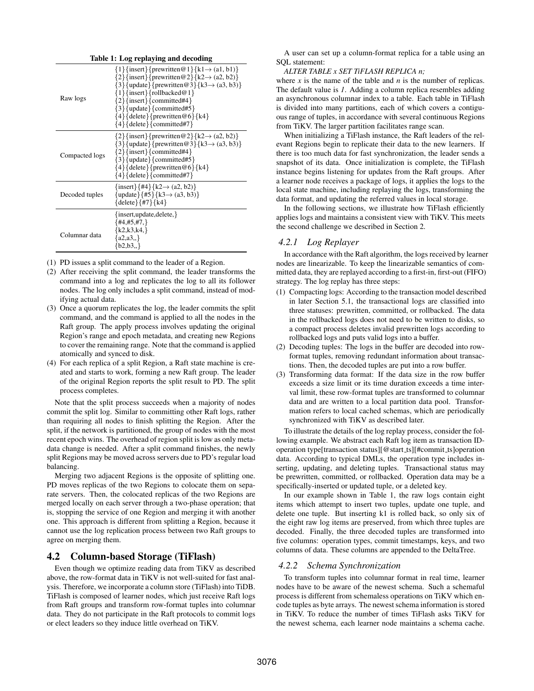| Table 1: Log replaying and decoding |                                                                                                                                                                                                                                                                                                                                                                    |  |  |  |  |
|-------------------------------------|--------------------------------------------------------------------------------------------------------------------------------------------------------------------------------------------------------------------------------------------------------------------------------------------------------------------------------------------------------------------|--|--|--|--|
| Raw logs                            | $\{1\}$ {insert}{prewritten@1}{k1 $\rightarrow$ (a1, b1)}<br>${2}{insert}$ forewritten@2}{k2 $\rightarrow$ (a2, b2)}<br>${3}$ {update}{prewritten@3}{k3 $\rightarrow$ (a3, b3)}<br>$\{1\}$ {insert}{rollbacked@1}<br>$\{2\}$ {insert}{committed#4}<br>$\{3\}$ {update}{committed#5}<br>${4}{\text{delete}}$ {prewritten @6} { k4}<br>$\{4\}$ {delete}{committed#7} |  |  |  |  |
| Compacted logs                      | $\{2\}$ {insert}{prewritten@2}{k2 $\rightarrow$ (a2, b2)}<br>$\{3\}$ {update}{prewritten@3}{k3 $\rightarrow$ (a3, b3)}<br>$\{2\}$ {insert}{committed#4}<br>$\{3\}$ {update}{committed#5}<br>${4}{\text{delete}}$ {prewritten @6} {k4}<br>${4}{\text{delete}}$ {committed#7}                                                                                        |  |  |  |  |
| Decoded tuples                      | ${\text{insert}} {\#4} {\text{R2}} \rightarrow {\text{(a2, b2)}}$<br>$\{\text{update}\}\{\#5\}\{\text{k}3 \to (\text{a}3, \text{b}3)\}\$<br>$\{delete\}$ {#7}{k4}                                                                                                                                                                                                  |  |  |  |  |
| Columnar data                       | $\{insert, update, delete, \}$<br>${#4, #5, #7, }$<br>${k2,k3,k4}$<br>$\{a2,a3\}$<br>${b2,b3}$                                                                                                                                                                                                                                                                     |  |  |  |  |

(1) PD issues a split command to the leader of a Region.

- (2) After receiving the split command, the leader transforms the command into a log and replicates the log to all its follower nodes. The log only includes a split command, instead of modifying actual data.
- (3) Once a quorum replicates the log, the leader commits the split command, and the command is applied to all the nodes in the Raft group. The apply process involves updating the original Region's range and epoch metadata, and creating new Regions to cover the remaining range. Note that the command is applied atomically and synced to disk.
- (4) For each replica of a split Region, a Raft state machine is created and starts to work, forming a new Raft group. The leader of the original Region reports the split result to PD. The split process completes.

Note that the split process succeeds when a majority of nodes commit the split log. Similar to committing other Raft logs, rather than requiring all nodes to finish splitting the Region. After the split, if the network is partitioned, the group of nodes with the most recent epoch wins. The overhead of region split is low as only metadata change is needed. After a split command finishes, the newly split Regions may be moved across servers due to PD's regular load balancing.

Merging two adjacent Regions is the opposite of splitting one. PD moves replicas of the two Regions to colocate them on separate servers. Then, the colocated replicas of the two Regions are merged locally on each server through a two-phase operation; that is, stopping the service of one Region and merging it with another one. This approach is different from splitting a Region, because it cannot use the log replication process between two Raft groups to agree on merging them.

# 4.2 Column-based Storage (TiFlash)

Even though we optimize reading data from TiKV as described above, the row-format data in TiKV is not well-suited for fast analysis. Therefore, we incorporate a column store (TiFlash) into TiDB. TiFlash is composed of learner nodes, which just receive Raft logs from Raft groups and transform row-format tuples into columnar data. They do not participate in the Raft protocols to commit logs or elect leaders so they induce little overhead on TiKV.

A user can set up a column-format replica for a table using an SQL statement:

### *ALTER TABLE x SET TiFLASH REPLICA n;*

where *x* is the name of the table and *n* is the number of replicas. The default value is *1*. Adding a column replica resembles adding an asynchronous columnar index to a table. Each table in TiFlash is divided into many partitions, each of which covers a contiguous range of tuples, in accordance with several continuous Regions from TiKV. The larger partition facilitates range scan.

When initializing a TiFlash instance, the Raft leaders of the relevant Regions begin to replicate their data to the new learners. If there is too much data for fast synchronization, the leader sends a snapshot of its data. Once initialization is complete, the TiFlash instance begins listening for updates from the Raft groups. After a learner node receives a package of logs, it applies the logs to the local state machine, including replaying the logs, transforming the data format, and updating the referred values in local storage.

In the following sections, we illustrate how TiFlash efficiently applies logs and maintains a consistent view with TiKV. This meets the second challenge we described in Section 2.

# *4.2.1 Log Replayer*

In accordance with the Raft algorithm, the logs received by learner nodes are linearizable. To keep the linearizable semantics of committed data, they are replayed according to a first-in, first-out (FIFO) strategy. The log replay has three steps:

- (1) Compacting logs: According to the transaction model described in later Section 5.1, the transactional logs are classified into three statuses: prewritten, committed, or rollbacked. The data in the rollbacked logs does not need to be written to disks, so a compact process deletes invalid prewritten logs according to rollbacked logs and puts valid logs into a buffer.
- (2) Decoding tuples: The logs in the buffer are decoded into rowformat tuples, removing redundant information about transactions. Then, the decoded tuples are put into a row buffer.
- (3) Transforming data format: If the data size in the row buffer exceeds a size limit or its time duration exceeds a time interval limit, these row-format tuples are transformed to columnar data and are written to a local partition data pool. Transformation refers to local cached schemas, which are periodically synchronized with TiKV as described later.

To illustrate the details of the log replay process, consider the following example. We abstract each Raft log item as transaction IDoperation type[transaction status][@start\_ts][#commit\_ts]operation data. According to typical DMLs, the operation type includes inserting, updating, and deleting tuples. Transactional status may be prewritten, committed, or rollbacked. Operation data may be a specifically-inserted or updated tuple, or a deleted key.

In our example shown in Table 1, the raw logs contain eight items which attempt to insert two tuples, update one tuple, and delete one tuple. But inserting k1 is rolled back, so only six of the eight raw log items are preserved, from which three tuples are decoded. Finally, the three decoded tuples are transformed into five columns: operation types, commit timestamps, keys, and two columns of data. These columns are appended to the DeltaTree.

# *4.2.2 Schema Synchronization*

To transform tuples into columnar format in real time, learner nodes have to be aware of the newest schema. Such a schemaful process is different from schemaless operations on TiKV which encode tuples as byte arrays. The newest schema information is stored in TiKV. To reduce the number of times TiFlash asks TiKV for the newest schema, each learner node maintains a schema cache.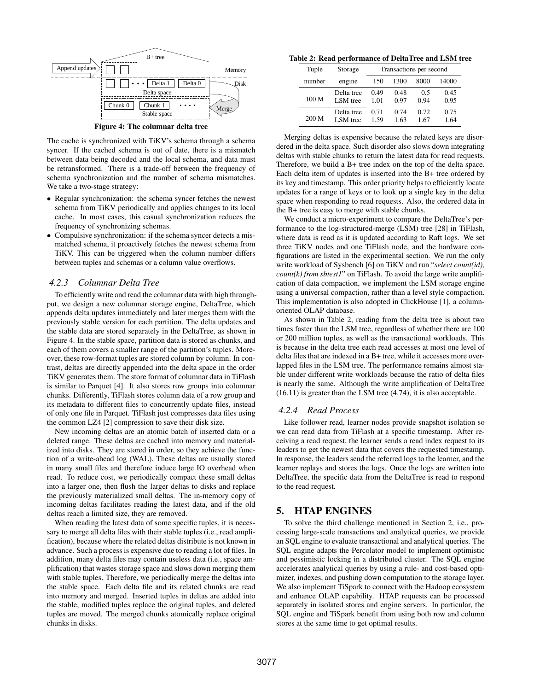

The cache is synchronized with TiKV's schema through a schema syncer. If the cached schema is out of date, there is a mismatch between data being decoded and the local schema, and data must be retransformed. There is a trade-off between the frequency of schema synchronization and the number of schema mismatches. We take a two-stage strategy:

- Regular synchronization: the schema syncer fetches the newest schema from TiKV periodically and applies changes to its local cache. In most cases, this casual synchronization reduces the frequency of synchronizing schemas.
- Compulsive synchronization: if the schema syncer detects a mismatched schema, it proactively fetches the newest schema from TiKV. This can be triggered when the column number differs between tuples and schemas or a column value overflows.

# *4.2.3 Columnar Delta Tree*

To efficiently write and read the columnar data with high throughput, we design a new columnar storage engine, DeltaTree, which appends delta updates immediately and later merges them with the previously stable version for each partition. The delta updates and the stable data are stored separately in the DeltaTree, as shown in Figure 4. In the stable space, partition data is stored as chunks, and each of them covers a smaller range of the partition's tuples. Moreover, these row-format tuples are stored column by column. In contrast, deltas are directly appended into the delta space in the order TiKV generates them. The store format of columnar data in TiFlash is similar to Parquet [4]. It also stores row groups into columnar chunks. Differently, TiFlash stores column data of a row group and its metadata to different files to concurrently update files, instead of only one file in Parquet. TiFlash just compresses data files using the common LZ4 [2] compression to save their disk size.

New incoming deltas are an atomic batch of inserted data or a deleted range. These deltas are cached into memory and materialized into disks. They are stored in order, so they achieve the function of a write-ahead log (WAL). These deltas are usually stored in many small files and therefore induce large IO overhead when read. To reduce cost, we periodically compact these small deltas into a larger one, then flush the larger deltas to disks and replace the previously materialized small deltas. The in-memory copy of incoming deltas facilitates reading the latest data, and if the old deltas reach a limited size, they are removed.

When reading the latest data of some specific tuples, it is necessary to merge all delta files with their stable tuples (i.e., read amplification), because where the related deltas distribute is not known in advance. Such a process is expensive due to reading a lot of files. In addition, many delta files may contain useless data (i.e., space amplification) that wastes storage space and slows down merging them with stable tuples. Therefore, we periodically merge the deltas into the stable space. Each delta file and its related chunks are read into memory and merged. Inserted tuples in deltas are added into the stable, modified tuples replace the original tuples, and deleted tuples are moved. The merged chunks atomically replace original chunks in disks.

Table 2: Read performance of DeltaTree and LSM tree

| Tuple            | Storage    | Transactions per second |      |      |       |
|------------------|------------|-------------------------|------|------|-------|
| number           | engine     | 150                     | 1300 | 8000 | 14000 |
| 100 <sub>M</sub> | Delta tree | 0.49                    | 0.48 | 0.5  | 0.45  |
|                  | LSM tree   | 1.01                    | 0.97 | 0.94 | 0.95  |
| 200 M            | Delta tree | 0.71                    | 0.74 | 0.72 | 0.75  |
|                  | LSM tree   | 1.59                    | 1.63 | 1.67 | 1.64  |

Merging deltas is expensive because the related keys are disordered in the delta space. Such disorder also slows down integrating deltas with stable chunks to return the latest data for read requests. Therefore, we build a B+ tree index on the top of the delta space. Each delta item of updates is inserted into the B+ tree ordered by its key and timestamp. This order priority helps to efficiently locate updates for a range of keys or to look up a single key in the delta space when responding to read requests. Also, the ordered data in the B+ tree is easy to merge with stable chunks.

We conduct a micro-experiment to compare the DeltaTree's performance to the log-structured-merge (LSM) tree [28] in TiFlash, where data is read as it is updated according to Raft logs. We set three TiKV nodes and one TiFlash node, and the hardware configurations are listed in the experimental section. We run the only write workload of Sysbench [6] on TiKV and run "*select count(id), count(k) from sbtest1*" on TiFlash. To avoid the large write amplification of data compaction, we implement the LSM storage engine using a universal compaction, rather than a level style compaction. This implementation is also adopted in ClickHouse [1], a columnoriented OLAP database.

As shown in Table 2, reading from the delta tree is about two times faster than the LSM tree, regardless of whether there are 100 or 200 million tuples, as well as the transactional workloads. This is because in the delta tree each read accesses at most one level of delta files that are indexed in a B+ tree, while it accesses more overlapped files in the LSM tree. The performance remains almost stable under different write workloads because the ratio of delta files is nearly the same. Although the write amplification of DeltaTree (16.11) is greater than the LSM tree (4.74), it is also acceptable.

#### *4.2.4 Read Process*

Like follower read, learner nodes provide snapshot isolation so we can read data from TiFlash at a specific timestamp. After receiving a read request, the learner sends a read index request to its leaders to get the newest data that covers the requested timestamp. In response, the leaders send the referred logs to the learner, and the learner replays and stores the logs. Once the logs are written into DeltaTree, the specific data from the DeltaTree is read to respond to the read request.

# 5. HTAP ENGINES

To solve the third challenge mentioned in Section 2, i.e., processing large-scale transactions and analytical queries, we provide an SQL engine to evaluate transactional and analytical queries. The SQL engine adapts the Percolator model to implement optimistic and pessimistic locking in a distributed cluster. The SQL engine accelerates analytical queries by using a rule- and cost-based optimizer, indexes, and pushing down computation to the storage layer. We also implement TiSpark to connect with the Hadoop ecosystem and enhance OLAP capability. HTAP requests can be processed separately in isolated stores and engine servers. In particular, the SQL engine and TiSpark benefit from using both row and column stores at the same time to get optimal results.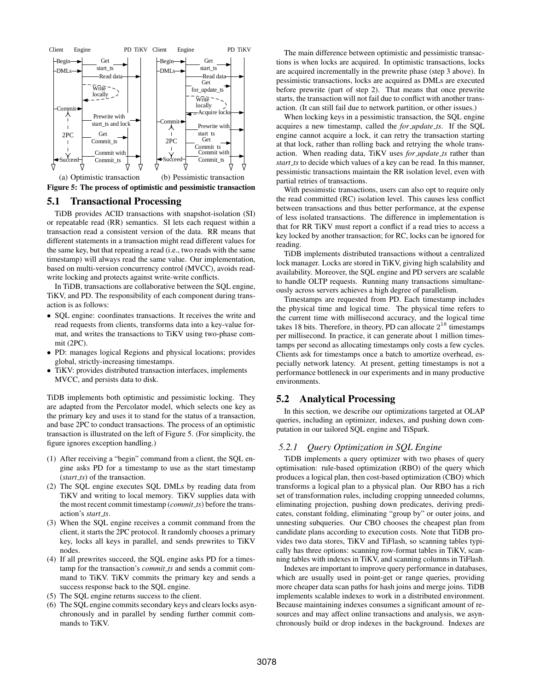

Figure 5: The process of optimistic and pessimistic transaction

# 5.1 Transactional Processing

TiDB provides ACID transactions with snapshot-isolation (SI) or repeatable read (RR) semantics. SI lets each request within a transaction read a consistent version of the data. RR means that different statements in a transaction might read different values for the same key, but that repeating a read (i.e., two reads with the same timestamp) will always read the same value. Our implementation, based on multi-version concurrency control (MVCC), avoids readwrite locking and protects against write-write conflicts.

In TiDB, transactions are collaborative between the SQL engine, TiKV, and PD. The responsibility of each component during transaction is as follows:

- SQL engine: coordinates transactions. It receives the write and read requests from clients, transforms data into a key-value format, and writes the transactions to TiKV using two-phase commit (2PC).
- PD: manages logical Regions and physical locations; provides global, strictly-increasing timestamps.
- TiKV: provides distributed transaction interfaces, implements MVCC, and persists data to disk.

TiDB implements both optimistic and pessimistic locking. They are adapted from the Percolator model, which selects one key as the primary key and uses it to stand for the status of a transaction, and base 2PC to conduct transactions. The process of an optimistic transaction is illustrated on the left of Figure 5. (For simplicity, the figure ignores exception handling.)

- (1) After receiving a "begin" command from a client, the SQL engine asks PD for a timestamp to use as the start timestamp (*start ts*) of the transaction.
- (2) The SQL engine executes SQL DMLs by reading data from TiKV and writing to local memory. TiKV supplies data with the most recent commit timestamp (*commit ts*) before the transaction's *start ts*.
- (3) When the SQL engine receives a commit command from the client, it starts the 2PC protocol. It randomly chooses a primary key, locks all keys in parallel, and sends prewrites to TiKV nodes.
- (4) If all prewrites succeed, the SQL engine asks PD for a timestamp for the transaction's *commit ts* and sends a commit command to TiKV. TiKV commits the primary key and sends a success response back to the SQL engine.
- (5) The SQL engine returns success to the client.
- (6) The SQL engine commits secondary keys and clears locks asynchronously and in parallel by sending further commit commands to TiKV.

The main difference between optimistic and pessimistic transactions is when locks are acquired. In optimistic transactions, locks are acquired incrementally in the prewrite phase (step 3 above). In pessimistic transactions, locks are acquired as DMLs are executed before prewrite (part of step 2). That means that once prewrite starts, the transaction will not fail due to conflict with another transaction. (It can still fail due to network partition, or other issues.)

When locking keys in a pessimistic transaction, the SQL engine acquires a new timestamp, called the *for update ts*. If the SQL engine cannot acquire a lock, it can retry the transaction starting at that lock, rather than rolling back and retrying the whole transaction. When reading data, TiKV uses *for update ts* rather than *start ts* to decide which values of a key can be read. In this manner, pessimistic transactions maintain the RR isolation level, even with partial retries of transactions.

With pessimistic transactions, users can also opt to require only the read committed (RC) isolation level. This causes less conflict between transactions and thus better performance, at the expense of less isolated transactions. The difference in implementation is that for RR TiKV must report a conflict if a read tries to access a key locked by another transaction; for RC, locks can be ignored for reading.

TiDB implements distributed transactions without a centralized lock manager. Locks are stored in TiKV, giving high scalability and availability. Moreover, the SQL engine and PD servers are scalable to handle OLTP requests. Running many transactions simultaneously across servers achieves a high degree of parallelism.

Timestamps are requested from PD. Each timestamp includes the physical time and logical time. The physical time refers to the current time with millisecond accuracy, and the logical time takes 18 bits. Therefore, in theory, PD can allocate  $2^{18}$  timestamps per millisecond. In practice, it can generate about 1 million timestamps per second as allocating timestamps only costs a few cycles. Clients ask for timestamps once a batch to amortize overhead, especially network latency. At present, getting timestamps is not a performance bottleneck in our experiments and in many productive environments.

# 5.2 Analytical Processing

In this section, we describe our optimizations targeted at OLAP queries, including an optimizer, indexes, and pushing down computation in our tailored SQL engine and TiSpark.

### *5.2.1 Query Optimization in SQL Engine*

TiDB implements a query optimizer with two phases of query optimisation: rule-based optimization (RBO) of the query which produces a logical plan, then cost-based optimization (CBO) which transforms a logical plan to a physical plan. Our RBO has a rich set of transformation rules, including cropping unneeded columns, eliminating projection, pushing down predicates, deriving predicates, constant folding, eliminating "group by" or outer joins, and unnesting subqueries. Our CBO chooses the cheapest plan from candidate plans according to execution costs. Note that TiDB provides two data stores, TiKV and TiFlash, so scanning tables typically has three options: scanning row-format tables in TiKV, scanning tables with indexes in TiKV, and scanning columns in TiFlash.

Indexes are important to improve query performance in databases, which are usually used in point-get or range queries, providing more cheaper data scan paths for hash joins and merge joins. TiDB implements scalable indexes to work in a distributed environment. Because maintaining indexes consumes a significant amount of resources and may affect online transactions and analysis, we asynchronously build or drop indexes in the background. Indexes are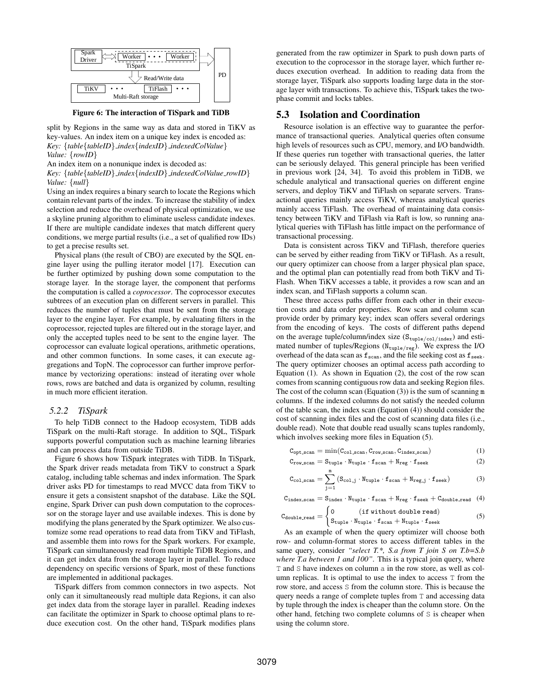

Figure 6: The interaction of TiSpark and TiDB

split by Regions in the same way as data and stored in TiKV as key-values. An index item on a unique key index is encoded as: *Key:* {*table*{*tableID*} *index*{*indexID*} *indexedColValue*} *Value:* {*rowID*}

An index item on a nonunique index is decoded as:

*Key:* {*table*{*tableID*} *index*{*indexID*} *indexedColValue rowID*} *Value:* {*null*}

Using an index requires a binary search to locate the Regions which contain relevant parts of the index. To increase the stability of index selection and reduce the overhead of physical optimization, we use a skyline pruning algorithm to eliminate useless candidate indexes. If there are multiple candidate indexes that match different query conditions, we merge partial results (i.e., a set of qualified row IDs) to get a precise results set.

Physical plans (the result of CBO) are executed by the SQL engine layer using the pulling iterator model [17]. Execution can be further optimized by pushing down some computation to the storage layer. In the storage layer, the component that performs the computation is called a *coprocessor*. The coprocessor executes subtrees of an execution plan on different servers in parallel. This reduces the number of tuples that must be sent from the storage layer to the engine layer. For example, by evaluating filters in the coprocessor, rejected tuples are filtered out in the storage layer, and only the accepted tuples need to be sent to the engine layer. The coprocessor can evaluate logical operations, arithmetic operations, and other common functions. In some cases, it can execute aggregations and TopN. The coprocessor can further improve performance by vectorizing operations: instead of iterating over whole rows, rows are batched and data is organized by column, resulting in much more efficient iteration.

#### *5.2.2 TiSpark*

To help TiDB connect to the Hadoop ecosystem, TiDB adds TiSpark on the multi-Raft storage. In addition to SQL, TiSpark supports powerful computation such as machine learning libraries and can process data from outside TiDB.

Figure 6 shows how TiSpark integrates with TiDB. In TiSpark, the Spark driver reads metadata from TiKV to construct a Spark catalog, including table schemas and index information. The Spark driver asks PD for timestamps to read MVCC data from TiKV to ensure it gets a consistent snapshot of the database. Like the SQL engine, Spark Driver can push down computation to the coprocessor on the storage layer and use available indexes. This is done by modifying the plans generated by the Spark optimizer. We also customize some read operations to read data from TiKV and TiFlash, and assemble them into rows for the Spark workers. For example, TiSpark can simultaneously read from multiple TiDB Regions, and it can get index data from the storage layer in parallel. To reduce dependency on specific versions of Spark, most of these functions are implemented in additional packages.

TiSpark differs from common connectors in two aspects. Not only can it simultaneously read multiple data Regions, it can also get index data from the storage layer in parallel. Reading indexes can facilitate the optimizer in Spark to choose optimal plans to reduce execution cost. On the other hand, TiSpark modifies plans

generated from the raw optimizer in Spark to push down parts of execution to the coprocessor in the storage layer, which further reduces execution overhead. In addition to reading data from the storage layer, TiSpark also supports loading large data in the storage layer with transactions. To achieve this, TiSpark takes the twophase commit and locks tables.

# 5.3 Isolation and Coordination

Resource isolation is an effective way to guarantee the performance of transactional queries. Analytical queries often consume high levels of resources such as CPU, memory, and I/O bandwidth. If these queries run together with transactional queries, the latter can be seriously delayed. This general principle has been verified in previous work [24, 34]. To avoid this problem in TiDB, we schedule analytical and transactional queries on different engine servers, and deploy TiKV and TiFlash on separate servers. Transactional queries mainly access TiKV, whereas analytical queries mainly access TiFlash. The overhead of maintaining data consistency between TiKV and TiFlash via Raft is low, so running analytical queries with TiFlash has little impact on the performance of transactional processing.

Data is consistent across TiKV and TiFlash, therefore queries can be served by either reading from TiKV or TiFlash. As a result, our query optimizer can choose from a larger physical plan space, and the optimal plan can potentially read from both TiKV and Ti-Flash. When TiKV accesses a table, it provides a row scan and an index scan, and TiFlash supports a column scan.

These three access paths differ from each other in their execution costs and data order properties. Row scan and column scan provide order by primary key; index scan offers several orderings from the encoding of keys. The costs of different paths depend on the average tuple/column/index size  $(S_{\text{tuple/col/index}})$  and estimated number of tuples/Regions ( $N_{\text{tuple/reg}}$ ). We express the I/O overhead of the data scan as  $f_{\text{scan}}$ , and the file seeking cost as  $f_{\text{seek}}$ . The query optimizer chooses an optimal access path according to Equation (1). As shown in Equation (2), the cost of the row scan comes from scanning contiguous row data and seeking Region files. The cost of the column scan (Equation  $(3)$ ) is the sum of scanning m columns. If the indexed columns do not satisfy the needed column of the table scan, the index scan (Equation (4)) should consider the cost of scanning index files and the cost of scanning data files (i.e., double read). Note that double read usually scans tuples randomly, which involves seeking more files in Equation (5).

$$
C_{\text{opt\_scan}} = \min(C_{\text{col\_scan}}, C_{\text{row\_scan}}, C_{\text{index\_scan}})
$$
(1)

$$
C_{\text{row\_scan}} = S_{\text{tuple}} \cdot N_{\text{tuple}} \cdot f_{\text{scan}} + N_{\text{reg}} \cdot f_{\text{seek}} \tag{2}
$$

$$
C_{\text{col.scan}} = \sum_{j=1}^{m} (S_{\text{col}.j} \cdot N_{\text{tuple}} \cdot f_{\text{scan}} + N_{\text{reg}.j} \cdot f_{\text{seek}}) \tag{3}
$$

 $\mathtt{C}_{index\_scan} = \mathtt{S}_{index} \cdot \mathtt{N}_{tuple} \cdot \mathtt{f}_{scan} + \mathtt{N}_{reg} \cdot \mathtt{f}_{seek} + \mathtt{C}_{double\_read} \quad (4)$ 

$$
C_{\text{double.read}} = \begin{cases} 0 & (\text{if without double read}) \\ S_{\text{tuple}} \cdot N_{\text{tuple}} \cdot f_{\text{scan}} + N_{\text{tuple}} \cdot f_{\text{seek}} \end{cases} \tag{5}
$$

As an example of when the query optimizer will choose both row- and column-format stores to access different tables in the same query, consider *"select T.\*, S.a from T join S on T.b=S.b where T.a between 1 and 100"*. This is a typical join query, where T and S have indexes on column a in the row store, as well as column replicas. It is optimal to use the index to access T from the row store, and access S from the column store. This is because the query needs a range of complete tuples from T and accessing data by tuple through the index is cheaper than the column store. On the other hand, fetching two complete columns of S is cheaper when using the column store.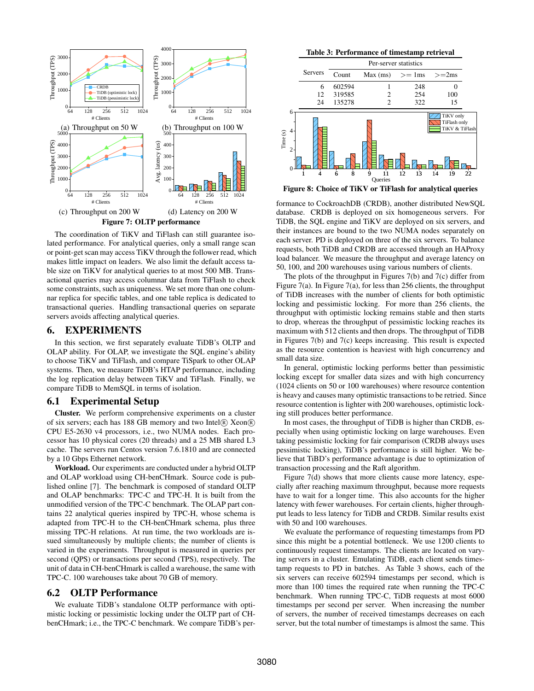

The coordination of TiKV and TiFlash can still guarantee isolated performance. For analytical queries, only a small range scan or point-get scan may access TiKV through the follower read, which makes little impact on leaders. We also limit the default access table size on TiKV for analytical queries to at most 500 MB. Transactional queries may access columnar data from TiFlash to check some constraints, such as uniqueness. We set more than one columnar replica for specific tables, and one table replica is dedicated to transactional queries. Handling transactional queries on separate servers avoids affecting analytical queries.

# 6. EXPERIMENTS

In this section, we first separately evaluate TiDB's OLTP and OLAP ability. For OLAP, we investigate the SQL engine's ability to choose TiKV and TiFlash, and compare TiSpark to other OLAP systems. Then, we measure TiDB's HTAP performance, including the log replication delay between TiKV and TiFlash. Finally, we compare TiDB to MemSQL in terms of isolation.

#### 6.1 Experimental Setup

Cluster. We perform comprehensive experiments on a cluster of six servers; each has 188 GB memory and two Intel® Xeon® CPU E5-2630 v4 processors, i.e., two NUMA nodes. Each processor has 10 physical cores (20 threads) and a 25 MB shared L3 cache. The servers run Centos version 7.6.1810 and are connected by a 10 Gbps Ethernet network.

Workload. Our experiments are conducted under a hybrid OLTP and OLAP workload using CH-benCHmark. Source code is published online [7]. The benchmark is composed of standard OLTP and OLAP benchmarks: TPC-C and TPC-H. It is built from the unmodified version of the TPC-C benchmark. The OLAP part contains 22 analytical queries inspired by TPC-H, whose schema is adapted from TPC-H to the CH-benCHmark schema, plus three missing TPC-H relations. At run time, the two workloads are issued simultaneously by multiple clients; the number of clients is varied in the experiments. Throughput is measured in queries per second (QPS) or transactions per second (TPS), respectively. The unit of data in CH-benCHmark is called a warehouse, the same with TPC-C. 100 warehouses take about 70 GB of memory.

# 6.2 OLTP Performance

We evaluate TiDB's standalone OLTP performance with optimistic locking or pessimistic locking under the OLTP part of CHbenCHmark; i.e., the TPC-C benchmark. We compare TiDB's per-

Table 3: Performance of timestamp retrieval



Figure 8: Choice of TiKV or TiFlash for analytical queries

formance to CockroachDB (CRDB), another distributed NewSQL database. CRDB is deployed on six homogeneous servers. For TiDB, the SQL engine and TiKV are deployed on six servers, and their instances are bound to the two NUMA nodes separately on each server. PD is deployed on three of the six servers. To balance requests, both TiDB and CRDB are accessed through an HAProxy load balancer. We measure the throughput and average latency on 50, 100, and 200 warehouses using various numbers of clients.

The plots of the throughput in Figures 7(b) and 7(c) differ from Figure 7(a). In Figure 7(a), for less than 256 clients, the throughput of TiDB increases with the number of clients for both optimistic locking and pessimistic locking. For more than 256 clients, the throughput with optimistic locking remains stable and then starts to drop, whereas the throughput of pessimistic locking reaches its maximum with 512 clients and then drops. The throughput of TiDB in Figures 7(b) and 7(c) keeps increasing. This result is expected as the resource contention is heaviest with high concurrency and small data size.

In general, optimistic locking performs better than pessimistic locking except for smaller data sizes and with high concurrency (1024 clients on 50 or 100 warehouses) where resource contention is heavy and causes many optimistic transactions to be retried. Since resource contention is lighter with 200 warehouses, optimistic locking still produces better performance.

In most cases, the throughput of TiDB is higher than CRDB, especially when using optimistic locking on large warehouses. Even taking pessimistic locking for fair comparison (CRDB always uses pessimistic locking), TiDB's performance is still higher. We believe that TiBD's performance advantage is due to optimization of transaction processing and the Raft algorithm.

Figure 7(d) shows that more clients cause more latency, especially after reaching maximum throughput, because more requests have to wait for a longer time. This also accounts for the higher latency with fewer warehouses. For certain clients, higher throughput leads to less latency for TiDB and CRDB. Similar results exist with 50 and 100 warehouses.

We evaluate the performance of requesting timestamps from PD since this might be a potential bottleneck. We use 1200 clients to continuously request timestamps. The clients are located on varying servers in a cluster. Emulating TiDB, each client sends timestamp requests to PD in batches. As Table 3 shows, each of the six servers can receive 602594 timestamps per second, which is more than 100 times the required rate when running the TPC-C benchmark. When running TPC-C, TiDB requests at most 6000 timestamps per second per server. When increasing the number of servers, the number of received timestamps decreases on each server, but the total number of timestamps is almost the same. This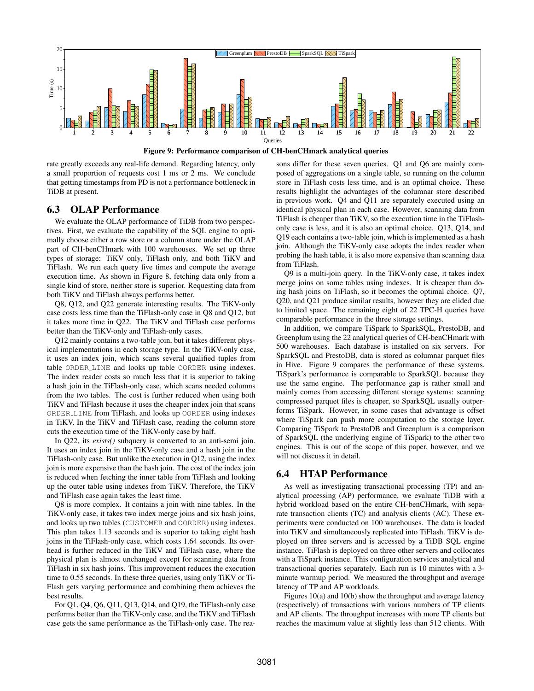

Figure 9: Performance comparison of CH-benCHmark analytical queries

rate greatly exceeds any real-life demand. Regarding latency, only a small proportion of requests cost 1 ms or 2 ms. We conclude that getting timestamps from PD is not a performance bottleneck in TiDB at present.

# 6.3 OLAP Performance

We evaluate the OLAP performance of TiDB from two perspectives. First, we evaluate the capability of the SQL engine to optimally choose either a row store or a column store under the OLAP part of CH-benCHmark with 100 warehouses. We set up three types of storage: TiKV only, TiFlash only, and both TiKV and TiFlash. We run each query five times and compute the average execution time. As shown in Figure 8, fetching data only from a single kind of store, neither store is superior. Requesting data from both TiKV and TiFlash always performs better.

Q8, Q12, and Q22 generate interesting results. The TiKV-only case costs less time than the TiFlash-only case in Q8 and Q12, but it takes more time in Q22. The TiKV and TiFlash case performs better than the TiKV-only and TiFlash-only cases.

Q12 mainly contains a two-table join, but it takes different physical implementations in each storage type. In the TiKV-only case, it uses an index join, which scans several qualified tuples from table ORDER LINE and looks up table OORDER using indexes. The index reader costs so much less that it is superior to taking a hash join in the TiFlash-only case, which scans needed columns from the two tables. The cost is further reduced when using both TiKV and TiFlash because it uses the cheaper index join that scans ORDER LINE from TiFlash, and looks up OORDER using indexes in TiKV. In the TiKV and TiFlash case, reading the column store cuts the execution time of the TiKV-only case by half.

In Q22, its *exists()* subquery is converted to an anti-semi join. It uses an index join in the TiKV-only case and a hash join in the TiFlash-only case. But unlike the execution in Q12, using the index join is more expensive than the hash join. The cost of the index join is reduced when fetching the inner table from TiFlash and looking up the outer table using indexes from TiKV. Therefore, the TiKV and TiFlash case again takes the least time.

Q8 is more complex. It contains a join with nine tables. In the TiKV-only case, it takes two index merge joins and six hash joins, and looks up two tables (CUSTOMER and OORDER) using indexes. This plan takes 1.13 seconds and is superior to taking eight hash joins in the TiFlash-only case, which costs 1.64 seconds. Its overhead is further reduced in the TiKV and TiFlash case, where the physical plan is almost unchanged except for scanning data from TiFlash in six hash joins. This improvement reduces the execution time to 0.55 seconds. In these three queries, using only TiKV or Ti-Flash gets varying performance and combining them achieves the best results.

For Q1, Q4, Q6, Q11, Q13, Q14, and Q19, the TiFlash-only case performs better than the TiKV-only case, and the TiKV and TiFlash case gets the same performance as the TiFlash-only case. The reasons differ for these seven queries. Q1 and Q6 are mainly composed of aggregations on a single table, so running on the column store in TiFlash costs less time, and is an optimal choice. These results highlight the advantages of the columnar store described in previous work. Q4 and Q11 are separately executed using an identical physical plan in each case. However, scanning data from TiFlash is cheaper than TiKV, so the execution time in the TiFlashonly case is less, and it is also an optimal choice. Q13, Q14, and Q19 each contains a two-table join, which is implemented as a hash join. Although the TiKV-only case adopts the index reader when probing the hash table, it is also more expensive than scanning data from TiFlash.

Q9 is a multi-join query. In the TiKV-only case, it takes index merge joins on some tables using indexes. It is cheaper than doing hash joins on TiFlash, so it becomes the optimal choice. Q7, Q20, and Q21 produce similar results, however they are elided due to limited space. The remaining eight of 22 TPC-H queries have comparable performance in the three storage settings.

In addition, we compare TiSpark to SparkSQL, PrestoDB, and Greenplum using the 22 analytical queries of CH-benCHmark with 500 warehouses. Each database is installed on six servers. For SparkSQL and PrestoDB, data is stored as columnar parquet files in Hive. Figure 9 compares the performance of these systems. TiSpark's performance is comparable to SparkSQL because they use the same engine. The performance gap is rather small and mainly comes from accessing different storage systems: scanning compressed parquet files is cheaper, so SparkSQL usually outperforms TiSpark. However, in some cases that advantage is offset where TiSpark can push more computation to the storage layer. Comparing TiSpark to PrestoDB and Greenplum is a comparison of SparkSQL (the underlying engine of TiSpark) to the other two engines. This is out of the scope of this paper, however, and we will not discuss it in detail.

# 6.4 HTAP Performance

As well as investigating transactional processing (TP) and analytical processing (AP) performance, we evaluate TiDB with a hybrid workload based on the entire CH-benCHmark, with separate transaction clients (TC) and analysis clients (AC). These experiments were conducted on 100 warehouses. The data is loaded into TiKV and simultaneously replicated into TiFlash. TiKV is deployed on three servers and is accessed by a TiDB SQL engine instance. TiFlash is deployed on three other servers and collocates with a TiSpark instance. This configuration services analytical and transactional queries separately. Each run is 10 minutes with a 3 minute warmup period. We measured the throughput and average latency of TP and AP workloads.

Figures 10(a) and 10(b) show the throughput and average latency (respectively) of transactions with various numbers of TP clients and AP clients. The throughput increases with more TP clients but reaches the maximum value at slightly less than 512 clients. With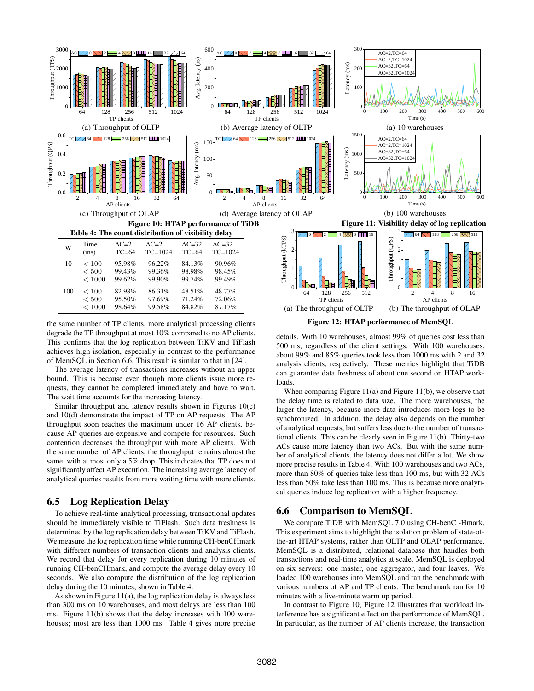

the same number of TP clients, more analytical processing clients degrade the TP throughput at most 10% compared to no AP clients. This confirms that the log replication between TiKV and TiFlash achieves high isolation, especially in contrast to the performance of MemSQL in Section 6.6. This result is similar to that in [24].

The average latency of transactions increases without an upper bound. This is because even though more clients issue more requests, they cannot be completed immediately and have to wait. The wait time accounts for the increasing latency.

Similar throughput and latency results shown in Figures 10(c) and 10(d) demonstrate the impact of TP on AP requests. The AP throughput soon reaches the maximum under 16 AP clients, because AP queries are expensive and compete for resources. Such contention decreases the throughput with more AP clients. With the same number of AP clients, the throughput remains almost the same, with at most only a 5% drop. This indicates that TP does not significantly affect AP execution. The increasing average latency of analytical queries results from more waiting time with more clients.

# 6.5 Log Replication Delay

To achieve real-time analytical processing, transactional updates should be immediately visible to TiFlash. Such data freshness is determined by the log replication delay between TiKV and TiFlash. We measure the log replication time while running CH-benCHmark with different numbers of transaction clients and analysis clients. We record that delay for every replication during 10 minutes of running CH-benCHmark, and compute the average delay every 10 seconds. We also compute the distribution of the log replication delay during the 10 minutes, shown in Table 4.

As shown in Figure 11(a), the log replication delay is always less than 300 ms on 10 warehouses, and most delays are less than 100 ms. Figure 11(b) shows that the delay increases with 100 warehouses; most are less than 1000 ms. Table 4 gives more precise

details. With 10 warehouses, almost 99% of queries cost less than 500 ms, regardless of the client settings. With 100 warehouses, about 99% and 85% queries took less than 1000 ms with 2 and 32 analysis clients, respectively. These metrics highlight that TiDB can guarantee data freshness of about one second on HTAP workloads.

When comparing Figure 11(a) and Figure 11(b), we observe that the delay time is related to data size. The more warehouses, the larger the latency, because more data introduces more logs to be synchronized. In addition, the delay also depends on the number of analytical requests, but suffers less due to the number of transactional clients. This can be clearly seen in Figure 11(b). Thirty-two ACs cause more latency than two ACs. But with the same number of analytical clients, the latency does not differ a lot. We show more precise results in Table 4. With 100 warehouses and two ACs, more than 80% of queries take less than 100 ms, but with 32 ACs less than 50% take less than 100 ms. This is because more analytical queries induce log replication with a higher frequency.

# 6.6 Comparison to MemSQL

We compare TiDB with MemSQL 7.0 using CH-benC -Hmark. This experiment aims to highlight the isolation problem of state-ofthe-art HTAP systems, rather than OLTP and OLAP performance. MemSQL is a distributed, relational database that handles both transactions and real-time analytics at scale. MemSQL is deployed on six servers: one master, one aggregator, and four leaves. We loaded 100 warehouses into MemSQL and ran the benchmark with various numbers of AP and TP clients. The benchmark ran for 10 minutes with a five-minute warm up period.

In contrast to Figure 10, Figure 12 illustrates that workload interference has a significant effect on the performance of MemSQL. In particular, as the number of AP clients increase, the transaction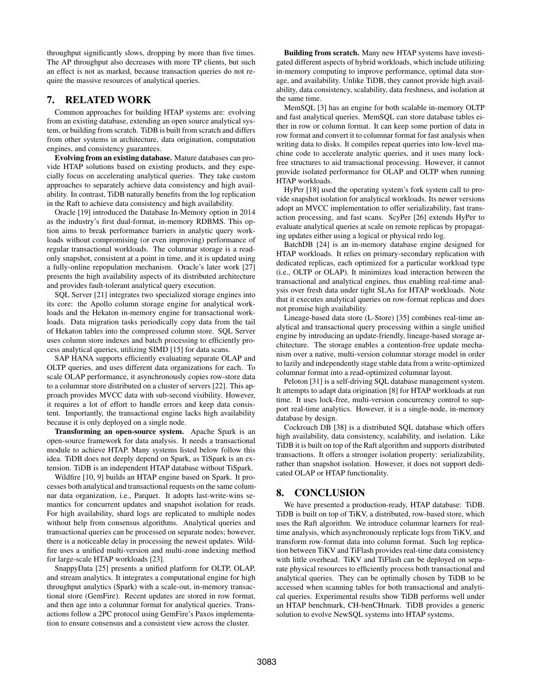throughput significantly slows, dropping by more than five times. The AP throughput also decreases with more TP clients, but such an effect is not as marked, because transaction queries do not require the massive resources of analytical queries.

# 7. RELATED WORK

Common approaches for building HTAP systems are: evolving from an existing database, extending an open source analytical system, or building from scratch. TiDB is built from scratch and differs from other systems in architecture, data origination, computation engines, and consistency guarantees.

Evolving from an existing database. Mature databases can provide HTAP solutions based on existing products, and they especially focus on accelerating analytical queries. They take custom approaches to separately achieve data consistency and high availability. In contrast, TiDB naturally benefits from the log replication in the Raft to achieve data consistency and high availability.

Oracle [19] introduced the Database In-Memory option in 2014 as the industry's first dual-format, in-memory RDBMS. This option aims to break performance barriers in analytic query workloads without compromising (or even improving) performance of regular transactional workloads. The columnar storage is a readonly snapshot, consistent at a point in time, and it is updated using a fully-online repopulation mechanism. Oracle's later work [27] presents the high availability aspects of its distributed architecture and provides fault-tolerant analytical query execution.

SQL Server [21] integrates two specialized storage engines into its core: the Apollo column storage engine for analytical workloads and the Hekaton in-memory engine for transactional workloads. Data migration tasks periodically copy data from the tail of Hekaton tables into the compressed column store. SQL Server uses column store indexes and batch processing to efficiently process analytical queries, utilizing SIMD [15] for data scans.

SAP HANA supports efficiently evaluating separate OLAP and OLTP queries, and uses different data organizations for each. To scale OLAP performance, it asynchronously copies row-store data to a columnar store distributed on a cluster of servers [22]. This approach provides MVCC data with sub-second visibility. However, it requires a lot of effort to handle errors and keep data consistent. Importantly, the transactional engine lacks high availability because it is only deployed on a single node.

Transforming an open-source system. Apache Spark is an open-source framework for data analysis. It needs a transactional module to achieve HTAP. Many systems listed below follow this idea. TiDB does not deeply depend on Spark, as TiSpark is an extension. TiDB is an independent HTAP database without TiSpark.

Wildfire [10, 9] builds an HTAP engine based on Spark. It processes both analytical and transactional requests on the same columnar data organization, i.e., Parquet. It adopts last-write-wins semantics for concurrent updates and snapshot isolation for reads. For high availability, shard logs are replicated to multiple nodes without help from consensus algorithms. Analytical queries and transactional queries can be processed on separate nodes; however, there is a noticeable delay in processing the newest updates. Wildfire uses a unified multi-version and multi-zone indexing method for large-scale HTAP workloads [23].

SnappyData [25] presents a unified platform for OLTP, OLAP, and stream analytics. It integrates a computational engine for high throughput analytics (Spark) with a scale-out, in-memory transactional store (GemFire). Recent updates are stored in row format, and then age into a columnar format for analytical queries. Transactions follow a 2PC protocol using GemFire's Paxos implementation to ensure consensus and a consistent view across the cluster.

Building from scratch. Many new HTAP systems have investigated different aspects of hybrid workloads, which include utilizing in-memory computing to improve performance, optimal data storage, and availability. Unlike TiDB, they cannot provide high availability, data consistency, scalability, data freshness, and isolation at the same time.

MemSQL [3] has an engine for both scalable in-memory OLTP and fast analytical queries. MemSQL can store database tables either in row or column format. It can keep some portion of data in row format and convert it to columnar format for fast analysis when writing data to disks. It compiles repeat queries into low-level machine code to accelerate analytic queries, and it uses many lockfree structures to aid transactional processing. However, it cannot provide isolated performance for OLAP and OLTP when running HTAP workloads.

HyPer [18] used the operating system's fork system call to provide snapshot isolation for analytical workloads. Its newer versions adopt an MVCC implementation to offer serializability, fast transaction processing, and fast scans. ScyPer [26] extends HyPer to evaluate analytical queries at scale on remote replicas by propagating updates either using a logical or physical redo log.

BatchDB [24] is an in-memory database engine designed for HTAP workloads. It relies on primary-secondary replication with dedicated replicas, each optimized for a particular workload type (i.e., OLTP or OLAP). It minimizes load interaction between the transactional and analytical engines, thus enabling real-time analysis over fresh data under tight SLAs for HTAP workloads. Note that it executes analytical queries on row-format replicas and does not promise high availability.

Lineage-based data store (L-Store) [35] combines real-time analytical and transactional query processing within a single unified engine by introducing an update-friendly, lineage-based storage architecture. The storage enables a contention-free update mechanism over a native, multi-version columnar storage model in order to lazily and independently stage stable data from a write-optimized columnar format into a read-optimized columnar layout.

Peloton [31] is a self-driving SQL database management system. It attempts to adapt data origination [8] for HTAP workloads at run time. It uses lock-free, multi-version concurrency control to support real-time analytics. However, it is a single-node, in-memory database by design.

Cockroach DB [38] is a distributed SQL database which offers high availability, data consistency, scalability, and isolation. Like TiDB it is built on top of the Raft algorithm and supports distributed transactions. It offers a stronger isolation property: serializability, rather than snapshot isolation. However, it does not support dedicated OLAP or HTAP functionality.

# 8. CONCLUSION

We have presented a production-ready, HTAP database: TiDB. TiDB is built on top of TiKV, a distributed, row-based store, which uses the Raft algorithm. We introduce columnar learners for realtime analysis, which asynchronously replicate logs from TiKV, and transform row-format data into column format. Such log replication between TiKV and TiFlash provides real-time data consistency with little overhead. TiKV and TiFlash can be deployed on separate physical resources to efficiently process both transactional and analytical queries. They can be optimally chosen by TiDB to be accessed when scanning tables for both transactional and analytical queries. Experimental results show TiDB performs well under an HTAP benchmark, CH-benCHmark. TiDB provides a generic solution to evolve NewSQL systems into HTAP systems.